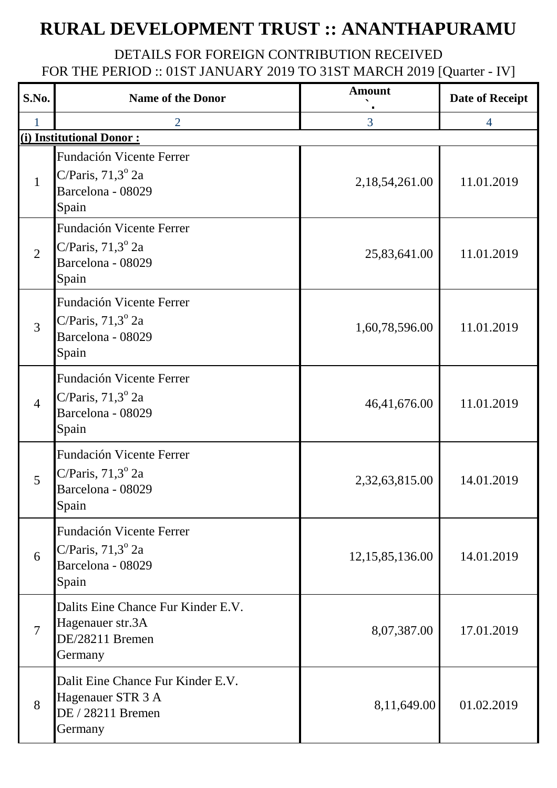## **RURAL DEVELOPMENT TRUST :: ANANTHAPURAMU**

## DETAILS FOR FOREIGN CONTRIBUTION RECEIVED FOR THE PERIOD :: 01ST JANUARY 2019 TO 31ST MARCH 2019 [Quarter - IV]

| S.No.          | <b>Name of the Donor</b>                                                               | <b>Amount</b>      | <b>Date of Receipt</b> |
|----------------|----------------------------------------------------------------------------------------|--------------------|------------------------|
|                | $\overline{2}$                                                                         | 3                  | $\overline{4}$         |
|                | (i) Institutional Donor:                                                               |                    |                        |
| $\mathbf{1}$   | Fundación Vicente Ferrer<br>C/Paris, $71,3^{\circ}$ 2a<br>Barcelona - 08029<br>Spain   | 2, 18, 54, 261.00  | 11.01.2019             |
| $\overline{2}$ | Fundación Vicente Ferrer<br>C/Paris, $71,3^{\circ}$ 2a<br>Barcelona - 08029<br>Spain   | 25,83,641.00       | 11.01.2019             |
| 3              | Fundación Vicente Ferrer<br>C/Paris, $71,3^{\circ}$ 2a<br>Barcelona - 08029<br>Spain   | 1,60,78,596.00     | 11.01.2019             |
| $\overline{4}$ | Fundación Vicente Ferrer<br>C/Paris, $71,3^{\circ}$ 2a<br>Barcelona - 08029<br>Spain   | 46,41,676.00       | 11.01.2019             |
| 5              | Fundación Vicente Ferrer<br>C/Paris, $71,3^{\circ}$ 2a<br>Barcelona - 08029<br>Spain   | 2,32,63,815.00     | 14.01.2019             |
| 6              | Fundación Vicente Ferrer<br>C/Paris, $71,3^{\circ}$ 2a<br>Barcelona - 08029<br>Spain   | 12, 15, 85, 136.00 | 14.01.2019             |
| $\tau$         | Dalits Eine Chance Fur Kinder E.V.<br>Hagenauer str.3A<br>DE/28211 Bremen<br>Germany   | 8,07,387.00        | 17.01.2019             |
| 8              | Dalit Eine Chance Fur Kinder E.V.<br>Hagenauer STR 3 A<br>DE / 28211 Bremen<br>Germany | 8,11,649.00        | 01.02.2019             |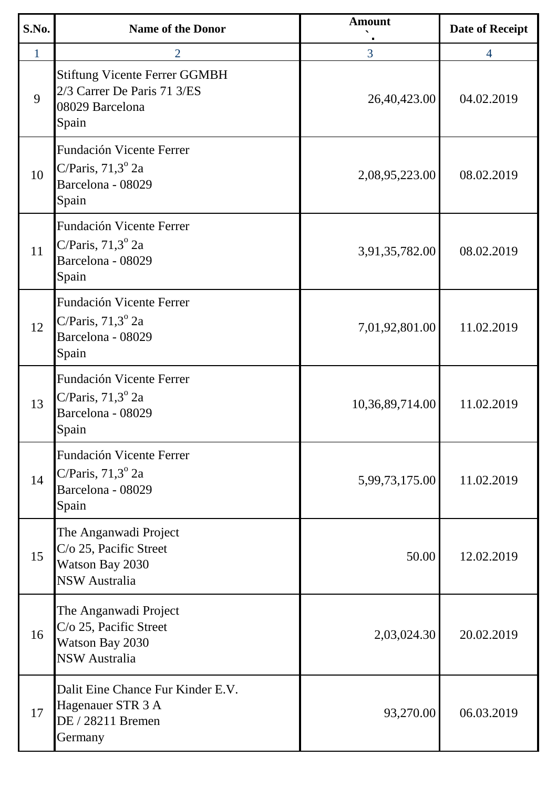| S.No.        | <b>Name of the Donor</b>                                                                          | <b>Amount</b>   | <b>Date of Receipt</b> |
|--------------|---------------------------------------------------------------------------------------------------|-----------------|------------------------|
| $\mathbf{1}$ | $\overline{2}$                                                                                    | $\overline{3}$  | $\overline{4}$         |
| 9            | <b>Stiftung Vicente Ferrer GGMBH</b><br>2/3 Carrer De Paris 71 3/ES<br>08029 Barcelona<br>Spain   | 26,40,423.00    | 04.02.2019             |
| 10           | Fundación Vicente Ferrer<br>C/Paris, $71,3^{\circ}$ 2a<br>Barcelona - 08029<br>Spain              | 2,08,95,223.00  | 08.02.2019             |
| 11           | Fundación Vicente Ferrer<br>C/Paris, $71,3^{\circ}$ 2a<br>Barcelona - 08029<br>Spain              | 3,91,35,782.00  | 08.02.2019             |
| 12           | Fundación Vicente Ferrer<br>C/Paris, $71,3^{\circ}$ 2a<br>Barcelona - 08029<br>Spain              | 7,01,92,801.00  | 11.02.2019             |
| 13           | Fundación Vicente Ferrer<br>C/Paris, $71,3^{\circ}$ 2a<br>Barcelona - 08029<br>Spain              | 10,36,89,714.00 | 11.02.2019             |
| 14           | Fundación Vicente Ferrer<br>C/Paris, $71,3^{\circ}$ 2a<br>Barcelona - 08029<br>Spain              | 5,99,73,175.00  | 11.02.2019             |
| 15           | The Anganwadi Project<br>C/o 25, Pacific Street<br>Watson Bay 2030<br><b>NSW Australia</b>        | 50.00           | 12.02.2019             |
| 16           | The Anganwadi Project<br>C/o 25, Pacific Street<br><b>Watson Bay 2030</b><br><b>NSW Australia</b> | 2,03,024.30     | 20.02.2019             |
| 17           | Dalit Eine Chance Fur Kinder E.V.<br>Hagenauer STR 3 A<br>DE / 28211 Bremen<br>Germany            | 93,270.00       | 06.03.2019             |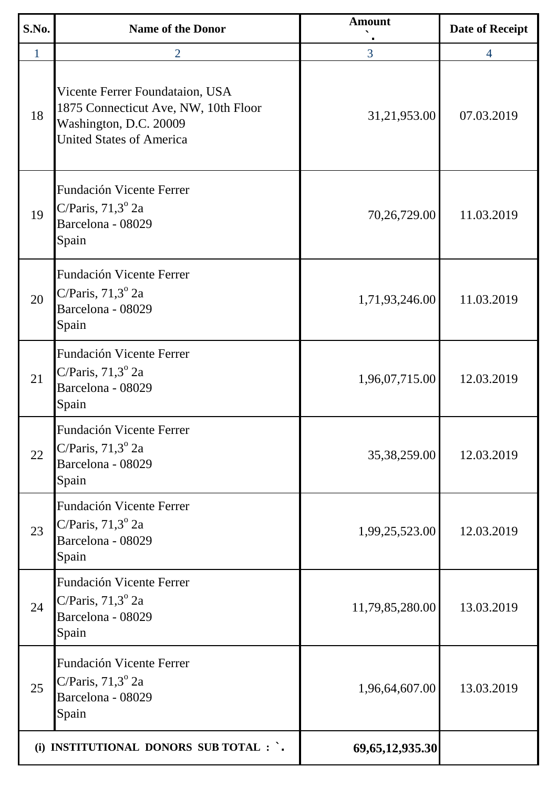| S.No.        | <b>Name of the Donor</b>                                                                                                             | <b>Amount</b>       | <b>Date of Receipt</b> |
|--------------|--------------------------------------------------------------------------------------------------------------------------------------|---------------------|------------------------|
| $\mathbf{1}$ | $\overline{2}$                                                                                                                       | 3                   | $\overline{4}$         |
| 18           | Vicente Ferrer Foundataion, USA<br>1875 Connecticut Ave, NW, 10th Floor<br>Washington, D.C. 20009<br><b>United States of America</b> | 31,21,953.00        | 07.03.2019             |
| 19           | Fundación Vicente Ferrer<br>C/Paris, $71,3^{\circ}$ 2a<br>Barcelona - 08029<br>Spain                                                 | 70,26,729.00        | 11.03.2019             |
| 20           | Fundación Vicente Ferrer<br>C/Paris, $71,3^{\circ}$ 2a<br>Barcelona - 08029<br>Spain                                                 | 1,71,93,246.00      | 11.03.2019             |
| 21           | Fundación Vicente Ferrer<br>C/Paris, $71,3^{\circ}$ 2a<br>Barcelona - 08029<br>Spain                                                 | 1,96,07,715.00      | 12.03.2019             |
| 22           | Fundación Vicente Ferrer<br>C/Paris, $71,3^{\circ}$ 2a<br>Barcelona - 08029<br>Spain                                                 | 35,38,259.00        | 12.03.2019             |
| 23           | Fundación Vicente Ferrer<br>C/Paris, $71,3^{\circ}$ 2a<br>Barcelona - 08029<br>Spain                                                 | 1,99,25,523.00      | 12.03.2019             |
| 24           | Fundación Vicente Ferrer<br>C/Paris, $71,3^{\circ}$ 2a<br>Barcelona - 08029<br>Spain                                                 | 11,79,85,280.00     | 13.03.2019             |
| 25           | Fundación Vicente Ferrer<br>C/Paris, $71,3^{\circ}$ 2a<br>Barcelona - 08029<br>Spain                                                 | 1,96,64,607.00      | 13.03.2019             |
|              | (i) INSTITUTIONAL DONORS SUB TOTAL : `.                                                                                              | 69, 65, 12, 935. 30 |                        |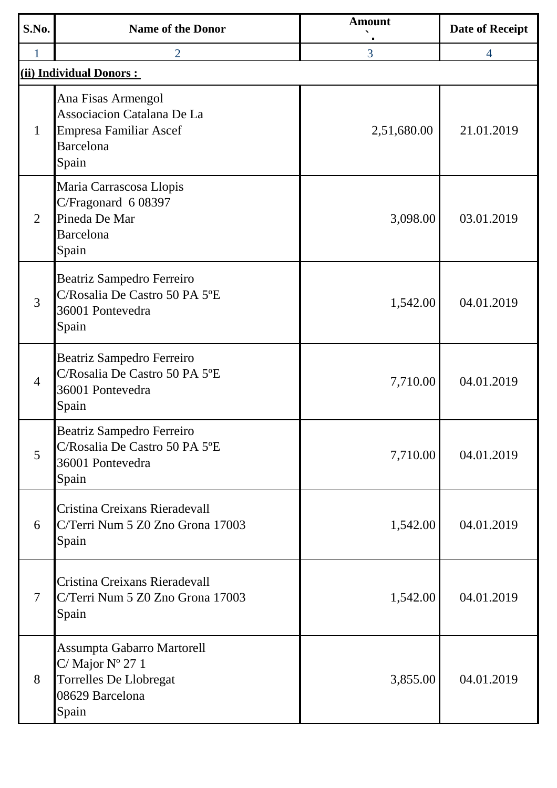| S.No.          | <b>Name of the Donor</b>                                                                                             | <b>Amount</b>  | <b>Date of Receipt</b> |
|----------------|----------------------------------------------------------------------------------------------------------------------|----------------|------------------------|
| $\mathbf{1}$   | $\overline{2}$                                                                                                       | $\overline{3}$ | $\overline{4}$         |
|                | (ii) Individual Donors :                                                                                             |                |                        |
| $\mathbf{1}$   | Ana Fisas Armengol<br>Associacion Catalana De La<br><b>Empresa Familiar Ascef</b><br><b>Barcelona</b><br>Spain       | 2,51,680.00    | 21.01.2019             |
| $\overline{2}$ | Maria Carrascosa Llopis<br>C/Fragonard 6 08397<br>Pineda De Mar<br><b>Barcelona</b><br>Spain                         | 3,098.00       | 03.01.2019             |
| 3              | Beatriz Sampedro Ferreiro<br>C/Rosalia De Castro 50 PA 5°E<br>36001 Pontevedra<br>Spain                              | 1,542.00       | 04.01.2019             |
| $\overline{4}$ | Beatriz Sampedro Ferreiro<br>C/Rosalia De Castro 50 PA 5°E<br>36001 Pontevedra<br>Spain                              | 7,710.00       | 04.01.2019             |
| 5              | <b>Beatriz Sampedro Ferreiro</b><br>C/Rosalia De Castro 50 PA 5°E<br>36001 Pontevedra<br>Spain                       | 7,710.00       | 04.01.2019             |
| 6              | Cristina Creixans Rieradevall<br>C/Terri Num 5 Z0 Zno Grona 17003<br>Spain                                           | 1,542.00       | 04.01.2019             |
| 7              | Cristina Creixans Rieradevall<br>C/Terri Num 5 Z0 Zno Grona 17003<br>Spain                                           | 1,542.00       | 04.01.2019             |
| 8              | Assumpta Gabarro Martorell<br>C/ Major $N^{\circ}$ 27 1<br><b>Torrelles De Llobregat</b><br>08629 Barcelona<br>Spain | 3,855.00       | 04.01.2019             |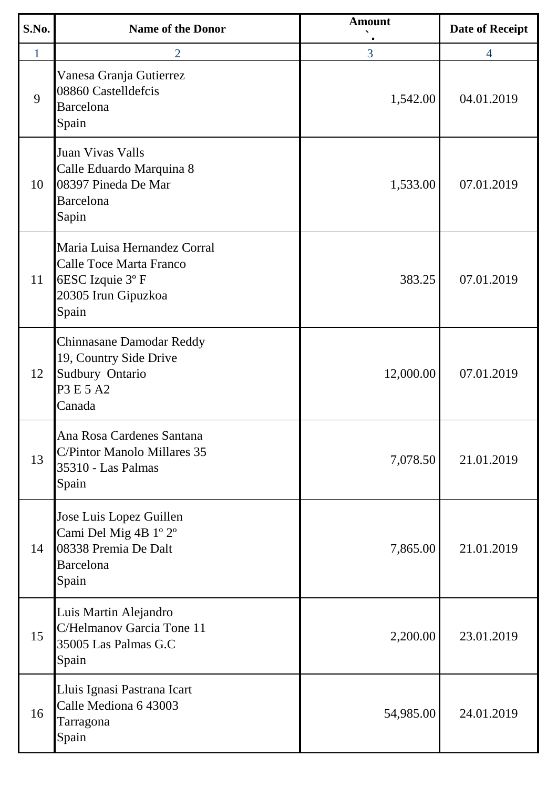| S.No.        | <b>Name of the Donor</b>                                                                                   | <b>Amount</b>  | <b>Date of Receipt</b> |
|--------------|------------------------------------------------------------------------------------------------------------|----------------|------------------------|
| $\mathbf{1}$ | $\overline{2}$                                                                                             | $\overline{3}$ | 4                      |
| 9            | Vanesa Granja Gutierrez<br>08860 Castelldefcis<br>Barcelona<br>Spain                                       | 1,542.00       | 04.01.2019             |
| 10           | Juan Vivas Valls<br>Calle Eduardo Marquina 8<br>08397 Pineda De Mar<br>Barcelona<br>Sapin                  | 1,533.00       | 07.01.2019             |
| 11           | Maria Luisa Hernandez Corral<br>Calle Toce Marta Franco<br>6ESC Izquie 3°F<br>20305 Irun Gipuzkoa<br>Spain | 383.25         | 07.01.2019             |
| 12           | <b>Chinnasane Damodar Reddy</b><br>19, Country Side Drive<br>Sudbury Ontario<br>P3 E 5 A2<br>Canada        | 12,000.00      | 07.01.2019             |
| 13           | Ana Rosa Cardenes Santana<br>C/Pintor Manolo Millares 35<br>35310 - Las Palmas<br>Spain                    | 7,078.50       | 21.01.2019             |
| 14           | Jose Luis Lopez Guillen<br>Cami Del Mig 4B 1° 2°<br>08338 Premia De Dalt<br>Barcelona<br>Spain             | 7,865.00       | 21.01.2019             |
| 15           | Luis Martin Alejandro<br>C/Helmanov Garcia Tone 11<br>35005 Las Palmas G.C<br>Spain                        | 2,200.00       | 23.01.2019             |
| 16           | Lluis Ignasi Pastrana Icart<br>Calle Mediona 6 43003<br>Tarragona<br>Spain                                 | 54,985.00      | 24.01.2019             |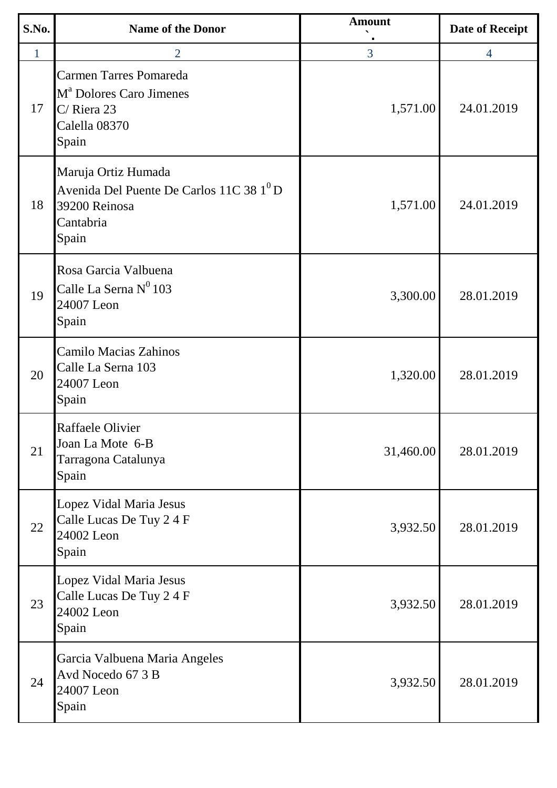| S.No.        | <b>Name of the Donor</b>                                                                                           | <b>Amount</b> | <b>Date of Receipt</b> |
|--------------|--------------------------------------------------------------------------------------------------------------------|---------------|------------------------|
| $\mathbf{1}$ | $\overline{2}$                                                                                                     | 3             | $\overline{4}$         |
| 17           | <b>Carmen Tarres Pomareda</b><br>M <sup>a</sup> Dolores Caro Jimenes<br>C/ Riera 23<br>Calella 08370<br>Spain      | 1,571.00      | 24.01.2019             |
| 18           | Maruja Ortiz Humada<br>Avenida Del Puente De Carlos 11C 38 1 <sup>0</sup> D<br>39200 Reinosa<br>Cantabria<br>Spain | 1,571.00      | 24.01.2019             |
| 19           | Rosa Garcia Valbuena<br>Calle La Serna Nº 103<br>24007 Leon<br>Spain                                               | 3,300.00      | 28.01.2019             |
| 20           | Camilo Macias Zahinos<br>Calle La Serna 103<br>24007 Leon<br>Spain                                                 | 1,320.00      | 28.01.2019             |
| 21           | Raffaele Olivier<br>Joan La Mote 6-B<br>Tarragona Catalunya<br>Spain                                               | 31,460.00     | 28.01.2019             |
| 22           | Lopez Vidal Maria Jesus<br>Calle Lucas De Tuy 2 4 F<br>24002 Leon<br>Spain                                         | 3,932.50      | 28.01.2019             |
| 23           | Lopez Vidal Maria Jesus<br>Calle Lucas De Tuy 2 4 F<br>24002 Leon<br>Spain                                         | 3,932.50      | 28.01.2019             |
| 24           | Garcia Valbuena Maria Angeles<br>Avd Nocedo 67 3 B<br>24007 Leon<br>Spain                                          | 3,932.50      | 28.01.2019             |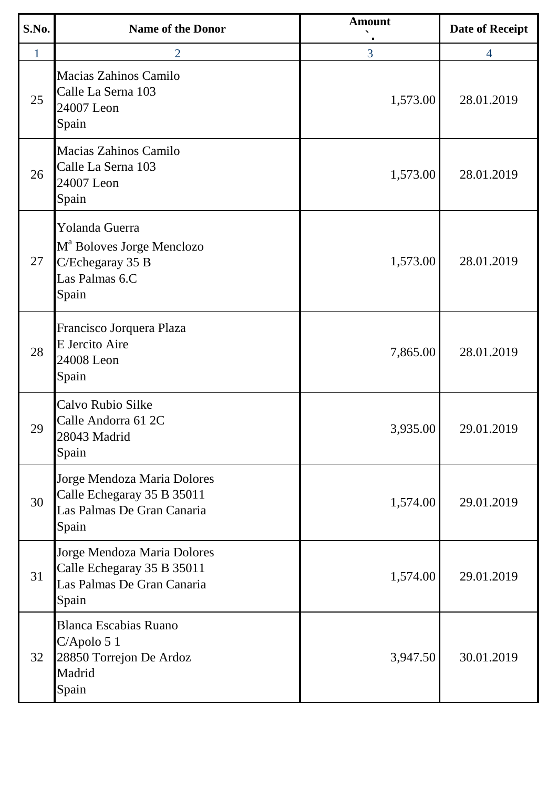| S.No. | <b>Name of the Donor</b>                                                                               | <b>Amount</b>  | <b>Date of Receipt</b> |
|-------|--------------------------------------------------------------------------------------------------------|----------------|------------------------|
| 1     | $\overline{2}$                                                                                         | $\overline{3}$ | $\overline{4}$         |
| 25    | Macias Zahinos Camilo<br>Calle La Serna 103<br>24007 Leon<br>Spain                                     | 1,573.00       | 28.01.2019             |
| 26    | Macias Zahinos Camilo<br>Calle La Serna 103<br>24007 Leon<br>Spain                                     | 1,573.00       | 28.01.2019             |
| 27    | Yolanda Guerra<br>M <sup>a</sup> Boloves Jorge Menclozo<br>C/Echegaray 35 B<br>Las Palmas 6.C<br>Spain | 1,573.00       | 28.01.2019             |
| 28    | Francisco Jorquera Plaza<br>E Jercito Aire<br>24008 Leon<br>Spain                                      | 7,865.00       | 28.01.2019             |
| 29    | Calvo Rubio Silke<br>Calle Andorra 61 2C<br>28043 Madrid<br>Spain                                      | 3,935.00       | 29.01.2019             |
| 30    | Jorge Mendoza Maria Dolores<br>Calle Echegaray 35 B 35011<br>Las Palmas De Gran Canaria<br>Spain       | 1,574.00       | 29.01.2019             |
| 31    | Jorge Mendoza Maria Dolores<br>Calle Echegaray 35 B 35011<br>Las Palmas De Gran Canaria<br>Spain       | 1,574.00       | 29.01.2019             |
| 32    | <b>Blanca Escabias Ruano</b><br>$C$ /Apolo 5 1<br>28850 Torrejon De Ardoz<br>Madrid<br>Spain           | 3,947.50       | 30.01.2019             |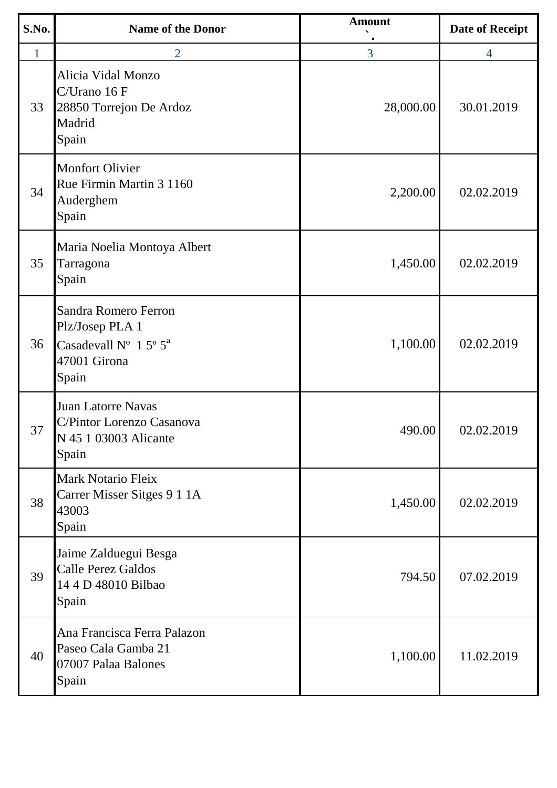| S.No. | <b>Name of the Donor</b>                                                                                       | <b>Amount</b> | <b>Date of Receipt</b> |
|-------|----------------------------------------------------------------------------------------------------------------|---------------|------------------------|
| 1     | 2                                                                                                              | 3             | 4                      |
| 33    | Alicia Vidal Monzo<br>C/Urano 16 F<br>28850 Torrejon De Ardoz<br>Madrid<br>Spain                               | 28,000.00     | 30.01.2019             |
| 34    | <b>Monfort Olivier</b><br>Rue Firmin Martin 3 1160<br>Auderghem<br>Spain                                       | 2,200.00      | 02.02.2019             |
| 35    | Maria Noelia Montoya Albert<br>Tarragona<br>Spain                                                              | 1,450.00      | 02.02.2019             |
| 36    | Sandra Romero Ferron<br>Plz/Josep PLA 1<br>Casadevall $N^{\circ}$ 1 5° 5 <sup>a</sup><br>47001 Girona<br>Spain | 1,100.00      | 02.02.2019             |
| 37    | Juan Latorre Navas<br>C/Pintor Lorenzo Casanova<br>N 45 1 03003 Alicante<br>Spain                              | 490.00        | 02.02.2019             |
| 38    | <b>Mark Notario Fleix</b><br>Carrer Misser Sitges 9 1 1A<br>43003<br>Spain                                     | 1,450.00      | 02.02.2019             |
| 39    | Jaime Zalduegui Besga<br><b>Calle Perez Galdos</b><br>14 4 D 48010 Bilbao<br>Spain                             | 794.50        | 07.02.2019             |
| 40    | Ana Francisca Ferra Palazon<br>Paseo Cala Gamba 21<br>07007 Palaa Balones<br>Spain                             | 1,100.00      | 11.02.2019             |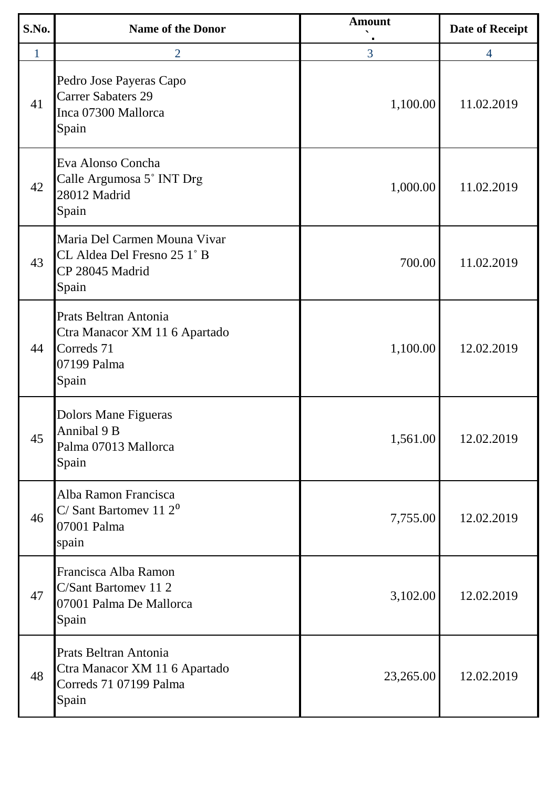| S.No.        | <b>Name of the Donor</b>                                                                     | <b>Amount</b> | <b>Date of Receipt</b> |
|--------------|----------------------------------------------------------------------------------------------|---------------|------------------------|
| $\mathbf{1}$ | 2                                                                                            | 3             | 4                      |
| 41           | Pedro Jose Payeras Capo<br><b>Carrer Sabaters 29</b><br>Inca 07300 Mallorca<br>Spain         | 1,100.00      | 11.02.2019             |
| 42           | Eva Alonso Concha<br>Calle Argumosa 5° INT Drg<br>28012 Madrid<br>Spain                      | 1,000.00      | 11.02.2019             |
| 43           | Maria Del Carmen Mouna Vivar<br>CL Aldea Del Fresno 25 1° B<br>CP 28045 Madrid<br>Spain      | 700.00        | 11.02.2019             |
| 44           | Prats Beltran Antonia<br>Ctra Manacor XM 11 6 Apartado<br>Correds 71<br>07199 Palma<br>Spain | 1,100.00      | 12.02.2019             |
| 45           | Dolors Mane Figueras<br>Annibal 9 B<br>Palma 07013 Mallorca<br>Spain                         | 1,561.00      | 12.02.2019             |
| 46           | Alba Ramon Francisca<br>C/Sant Bartomev 11 $2^0$<br>07001 Palma<br>spain                     | 7,755.00      | 12.02.2019             |
| 47           | Francisca Alba Ramon<br>C/Sant Bartomey 11 2<br>07001 Palma De Mallorca<br>Spain             | 3,102.00      | 12.02.2019             |
| 48           | Prats Beltran Antonia<br>Ctra Manacor XM 11 6 Apartado<br>Correds 71 07199 Palma<br>Spain    | 23,265.00     | 12.02.2019             |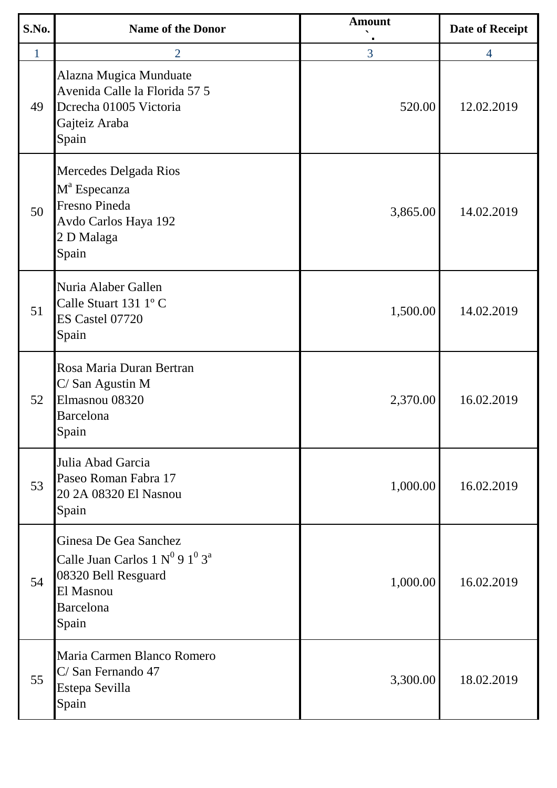| S.No.        | <b>Name of the Donor</b>                                                                                                      | <b>Amount</b> | <b>Date of Receipt</b> |
|--------------|-------------------------------------------------------------------------------------------------------------------------------|---------------|------------------------|
| $\mathbf{1}$ | 2                                                                                                                             | 3             | $\overline{4}$         |
| 49           | Alazna Mugica Munduate<br>Avenida Calle la Florida 57 5<br>Dcrecha 01005 Victoria<br>Gajteiz Araba<br>Spain                   | 520.00        | 12.02.2019             |
| 50           | Mercedes Delgada Rios<br>M <sup>a</sup> Especanza<br><b>Fresno Pineda</b><br>Avdo Carlos Haya 192<br>2 D Malaga<br>Spain      | 3,865.00      | 14.02.2019             |
| 51           | Nuria Alaber Gallen<br>Calle Stuart 131 1°C<br>ES Castel 07720<br>Spain                                                       | 1,500.00      | 14.02.2019             |
| 52           | Rosa Maria Duran Bertran<br>C/ San Agustin M<br>Elmasnou 08320<br><b>Barcelona</b><br>Spain                                   | 2,370.00      | 16.02.2019             |
| 53           | Julia Abad Garcia<br>Paseo Roman Fabra 17<br>20 2A 08320 El Nasnou<br>Spain                                                   | 1,000.00      | 16.02.2019             |
| 54           | Ginesa De Gea Sanchez<br>Calle Juan Carlos $1 N^0 9 1^0 3^a$<br>08320 Bell Resguard<br>El Masnou<br><b>Barcelona</b><br>Spain | 1,000.00      | 16.02.2019             |
| 55           | Maria Carmen Blanco Romero<br>C/San Fernando 47<br>Estepa Sevilla<br>Spain                                                    | 3,300.00      | 18.02.2019             |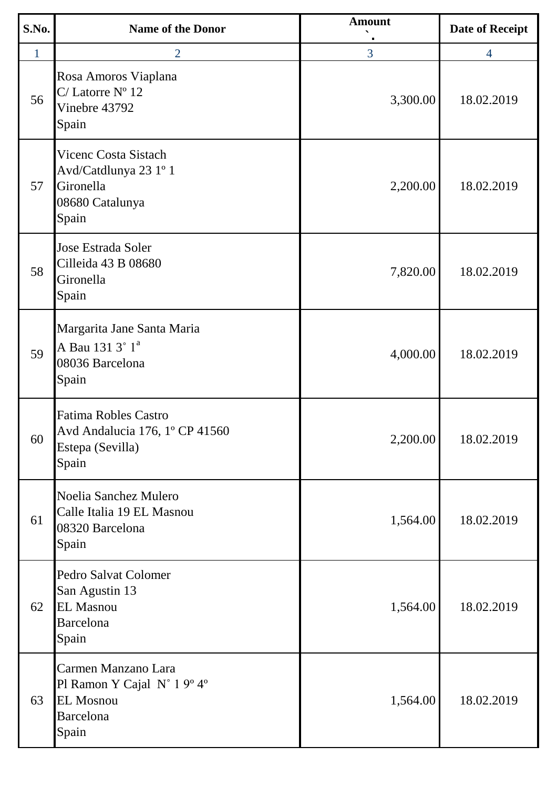| S.No.        | <b>Name of the Donor</b>                                                                      | <b>Amount</b> | <b>Date of Receipt</b> |
|--------------|-----------------------------------------------------------------------------------------------|---------------|------------------------|
| $\mathbf{1}$ | $\overline{2}$                                                                                | 3             | $\overline{4}$         |
| 56           | Rosa Amoros Viaplana<br>$C/$ Latorre $N^{\circ}$ 12<br>Vinebre 43792<br>Spain                 | 3,300.00      | 18.02.2019             |
| 57           | <b>Vicenc Costa Sistach</b><br>Avd/Catdlunya 23 1º 1<br>Gironella<br>08680 Catalunya<br>Spain | 2,200.00      | 18.02.2019             |
| 58           | Jose Estrada Soler<br>Cilleida 43 B 08680<br>Gironella<br>Spain                               | 7,820.00      | 18.02.2019             |
| 59           | Margarita Jane Santa Maria<br>A Bau 131 3° 1 <sup>ª</sup><br>08036 Barcelona<br>Spain         | 4,000.00      | 18.02.2019             |
| 60           | <b>Fatima Robles Castro</b><br>Avd Andalucia 176, 1º CP 41560<br>Estepa (Sevilla)<br>Spain    | 2,200.00      | 18.02.2019             |
| 61           | Noelia Sanchez Mulero<br>Calle Italia 19 EL Masnou<br>08320 Barcelona<br>Spain                | 1,564.00      | 18.02.2019             |
| 62           | Pedro Salvat Colomer<br>San Agustin 13<br><b>EL Masnou</b><br>Barcelona<br>Spain              | 1,564.00      | 18.02.2019             |
| 63           | Carmen Manzano Lara<br>Pl Ramon Y Cajal N° 1 9° 4°<br><b>EL Mosnou</b><br>Barcelona<br>Spain  | 1,564.00      | 18.02.2019             |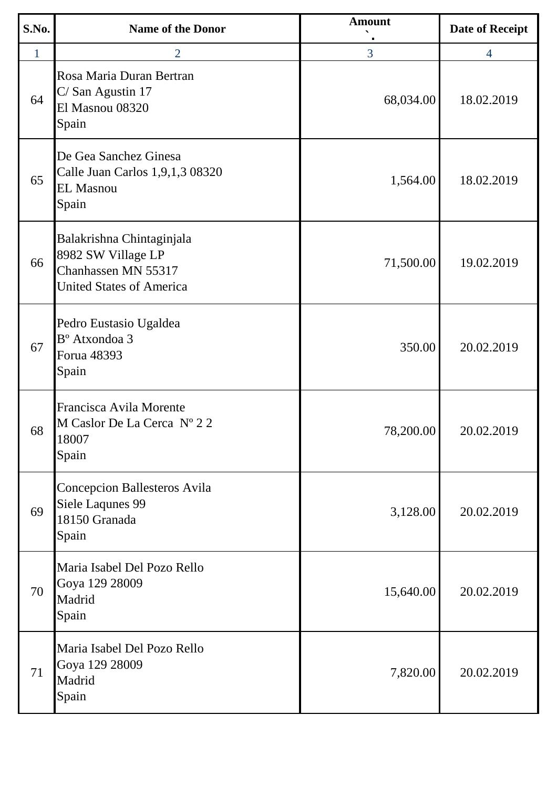| S.No.        | <b>Name of the Donor</b>                                                                                  | <b>Amount</b> | <b>Date of Receipt</b> |
|--------------|-----------------------------------------------------------------------------------------------------------|---------------|------------------------|
| $\mathbf{1}$ | 2                                                                                                         | 3             | $\overline{4}$         |
| 64           | Rosa Maria Duran Bertran<br>C/San Agustin 17<br>El Masnou 08320<br>Spain                                  | 68,034.00     | 18.02.2019             |
| 65           | De Gea Sanchez Ginesa<br>Calle Juan Carlos 1,9,1,3 08320<br><b>EL Masnou</b><br>Spain                     | 1,564.00      | 18.02.2019             |
| 66           | Balakrishna Chintaginjala<br>8982 SW Village LP<br>Chanhassen MN 55317<br><b>United States of America</b> | 71,500.00     | 19.02.2019             |
| 67           | Pedro Eustasio Ugaldea<br>B <sup>°</sup> Atxondoa 3<br>Forua 48393<br>Spain                               | 350.00        | 20.02.2019             |
| 68           | Francisca Avila Morente<br>M Caslor De La Cerca Nº 22<br>18007<br>Spain                                   | 78,200.00     | 20.02.2019             |
| 69           | Concepcion Ballesteros Avila<br>Siele Laqunes 99<br>18150 Granada<br>Spain                                | 3,128.00      | 20.02.2019             |
| 70           | Maria Isabel Del Pozo Rello<br>Goya 129 28009<br>Madrid<br>Spain                                          | 15,640.00     | 20.02.2019             |
| 71           | Maria Isabel Del Pozo Rello<br>Goya 129 28009<br>Madrid<br>Spain                                          | 7,820.00      | 20.02.2019             |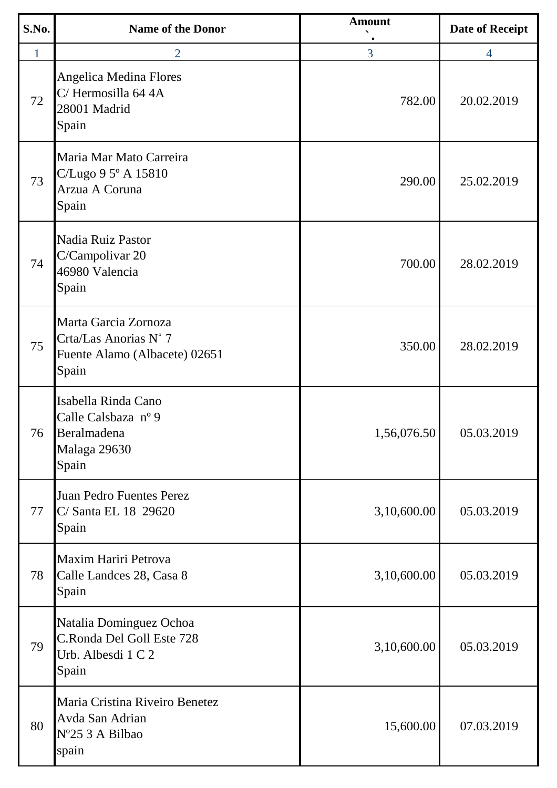| S.No.        | <b>Name of the Donor</b>                                                                | <b>Amount</b> | <b>Date of Receipt</b> |
|--------------|-----------------------------------------------------------------------------------------|---------------|------------------------|
| $\mathbf{1}$ | $\overline{2}$                                                                          | 3             | $\overline{4}$         |
| 72           | Angelica Medina Flores<br>C/Hermosilla 64 4A<br>28001 Madrid<br>Spain                   | 782.00        | 20.02.2019             |
| 73           | Maria Mar Mato Carreira<br>C/Lugo 9 5° A 15810<br>Arzua A Coruna<br>Spain               | 290.00        | 25.02.2019             |
| 74           | Nadia Ruiz Pastor<br>C/Campolivar 20<br>46980 Valencia<br>Spain                         | 700.00        | 28.02.2019             |
| 75           | Marta Garcia Zornoza<br>Crta/Las Anorias N° 7<br>Fuente Alamo (Albacete) 02651<br>Spain | 350.00        | 28.02.2019             |
| 76           | Isabella Rinda Cano<br>Calle Calsbaza nº 9<br>Beralmadena<br>Malaga 29630<br>Spain      | 1,56,076.50   | 05.03.2019             |
| 77           | Juan Pedro Fuentes Perez<br>C/ Santa EL 18 29620<br>Spain                               | 3,10,600.00   | 05.03.2019             |
| 78           | Maxim Hariri Petrova<br>Calle Landces 28, Casa 8<br>Spain                               | 3,10,600.00   | 05.03.2019             |
| 79           | Natalia Dominguez Ochoa<br>C.Ronda Del Goll Este 728<br>Urb. Albesdi 1 C 2<br>Spain     | 3,10,600.00   | 05.03.2019             |
| 80           | Maria Cristina Riveiro Benetez<br>Avda San Adrian<br>Nº25 3 A Bilbao<br>spain           | 15,600.00     | 07.03.2019             |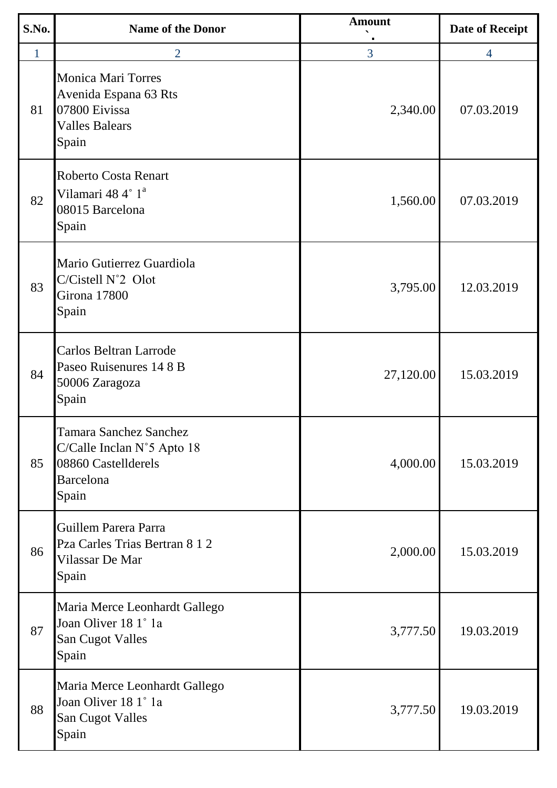| S.No. | <b>Name of the Donor</b>                                                                                                  | <b>Amount</b> | <b>Date of Receipt</b> |
|-------|---------------------------------------------------------------------------------------------------------------------------|---------------|------------------------|
| 1     | $\overline{2}$                                                                                                            | 3             | $\overline{4}$         |
| 81    | <b>Monica Mari Torres</b><br>Avenida Espana 63 Rts<br>07800 Eivissa<br><b>Valles Balears</b><br>Spain                     | 2,340.00      | 07.03.2019             |
| 82    | <b>Roberto Costa Renart</b><br>Vilamari 48 4° 1 <sup>a</sup><br>08015 Barcelona<br>Spain                                  | 1,560.00      | 07.03.2019             |
| 83    | Mario Gutierrez Guardiola<br>C/Cistell N°2 Olot<br>Girona 17800<br>Spain                                                  | 3,795.00      | 12.03.2019             |
| 84    | Carlos Beltran Larrode<br>Paseo Ruisenures 14 8 B<br>50006 Zaragoza<br>Spain                                              | 27,120.00     | 15.03.2019             |
| 85    | <b>Tamara Sanchez Sanchez</b><br>C/Calle Inclan $N^{\circ}$ 5 Apto 18<br>08860 Castellderels<br><b>Barcelona</b><br>Spain | 4,000.00      | 15.03.2019             |
| 86    | Guillem Parera Parra<br>Pza Carles Trias Bertran 8 1 2<br>Vilassar De Mar<br>Spain                                        | 2,000.00      | 15.03.2019             |
| 87    | Maria Merce Leonhardt Gallego<br>Joan Oliver 18 1° 1a<br><b>San Cugot Valles</b><br>Spain                                 | 3,777.50      | 19.03.2019             |
| 88    | Maria Merce Leonhardt Gallego<br>Joan Oliver 18 1° 1a<br><b>San Cugot Valles</b><br>Spain                                 | 3,777.50      | 19.03.2019             |